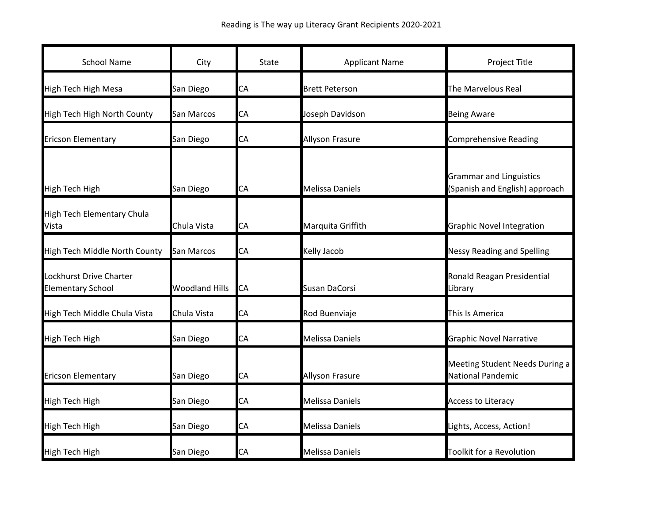| <b>School Name</b>                                  | City                  | State     | <b>Applicant Name</b>  | Project Title                                                    |
|-----------------------------------------------------|-----------------------|-----------|------------------------|------------------------------------------------------------------|
| <b>High Tech High Mesa</b>                          | San Diego             | CA        | <b>Brett Peterson</b>  | The Marvelous Real                                               |
| High Tech High North County                         | San Marcos            | CA        | Joseph Davidson        | <b>Being Aware</b>                                               |
| <b>Ericson Elementary</b>                           | San Diego             | CA        | <b>Allyson Frasure</b> | <b>Comprehensive Reading</b>                                     |
| High Tech High                                      | San Diego             | CA        | <b>Melissa Daniels</b> | <b>Grammar and Linguistics</b><br>(Spanish and English) approach |
| <b>High Tech Elementary Chula</b><br>Vista          | Chula Vista           | CA        | Marquita Griffith      | <b>Graphic Novel Integration</b>                                 |
| High Tech Middle North County                       | <b>San Marcos</b>     | CA        | Kelly Jacob            | <b>Nessy Reading and Spelling</b>                                |
| Lockhurst Drive Charter<br><b>Elementary School</b> | <b>Woodland Hills</b> | <b>CA</b> | Susan DaCorsi          | Ronald Reagan Presidential<br>Library                            |
| High Tech Middle Chula Vista                        | Chula Vista           | CA        | Rod Buenviaje          | This Is America                                                  |
| High Tech High                                      | San Diego             | CA        | <b>Melissa Daniels</b> | <b>Graphic Novel Narrative</b>                                   |
| <b>Ericson Elementary</b>                           | San Diego             | CA        | Allyson Frasure        | Meeting Student Needs During a<br>National Pandemic              |
| <b>High Tech High</b>                               | San Diego             | CA        | <b>Melissa Daniels</b> | <b>Access to Literacy</b>                                        |
| High Tech High                                      | San Diego             | СA        | <b>Melissa Daniels</b> | Lights, Access, Action!                                          |
| <b>High Tech High</b>                               | San Diego             | CA        | <b>Melissa Daniels</b> | Toolkit for a Revolution                                         |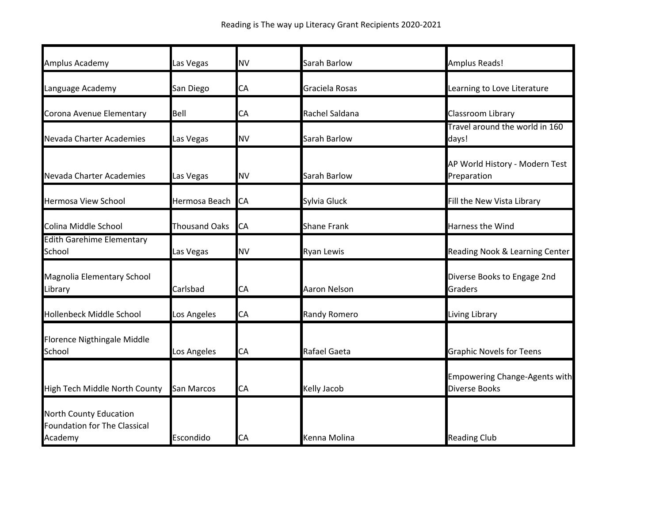| Amplus Academy                                                    | Las Vegas            | <b>NV</b> | Sarah Barlow        | Amplus Reads!                                         |
|-------------------------------------------------------------------|----------------------|-----------|---------------------|-------------------------------------------------------|
| Language Academy                                                  | San Diego            | СA        | Graciela Rosas      | Learning to Love Literature                           |
| Corona Avenue Elementary                                          | Bell                 | CA        | Rachel Saldana      | Classroom Library                                     |
| Nevada Charter Academies                                          | Las Vegas            | <b>NV</b> | Sarah Barlow        | Travel around the world in 160<br>days!               |
| Nevada Charter Academies                                          | Las Vegas            | <b>NV</b> | Sarah Barlow        | AP World History - Modern Test<br>Preparation         |
| <b>Hermosa View School</b>                                        | Hermosa Beach CA     |           | Sylvia Gluck        | Fill the New Vista Library                            |
| Colina Middle School                                              | <b>Thousand Oaks</b> | CA        | <b>Shane Frank</b>  | Harness the Wind                                      |
| <b>Edith Garehime Elementary</b><br>School                        | Las Vegas            | <b>NV</b> | Ryan Lewis          | Reading Nook & Learning Center                        |
| Magnolia Elementary School<br>Library                             | Carlsbad             | СA        | <b>Aaron Nelson</b> | Diverse Books to Engage 2nd<br>Graders                |
| Hollenbeck Middle School                                          | Los Angeles          | CA        | Randy Romero        | Living Library                                        |
| Florence Nigthingale Middle<br>School                             | Los Angeles          | CA        | Rafael Gaeta        | <b>Graphic Novels for Teens</b>                       |
| High Tech Middle North County                                     | San Marcos           | CA        | Kelly Jacob         | Empowering Change-Agents with<br><b>Diverse Books</b> |
| North County Education<br>Foundation for The Classical<br>Academy | Escondido            | СA        | Kenna Molina        | <b>Reading Club</b>                                   |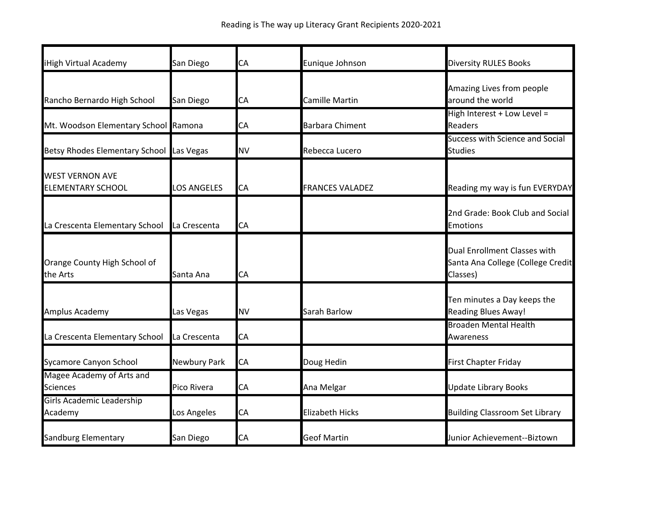| iHigh Virtual Academy                              | San Diego           | CA        | Eunique Johnson        | <b>Diversity RULES Books</b>                                                  |
|----------------------------------------------------|---------------------|-----------|------------------------|-------------------------------------------------------------------------------|
| Rancho Bernardo High School                        | San Diego           | CA        | Camille Martin         | Amazing Lives from people<br>around the world                                 |
| Mt. Woodson Elementary School Ramona               |                     | CA        | <b>Barbara Chiment</b> | High Interest + Low Level =<br><b>Readers</b>                                 |
| Betsy Rhodes Elementary School Las Vegas           |                     | <b>NV</b> | Rebecca Lucero         | <b>Success with Science and Social</b><br><b>Studies</b>                      |
| <b>WEST VERNON AVE</b><br><b>ELEMENTARY SCHOOL</b> | <b>LOS ANGELES</b>  | CA        | <b>FRANCES VALADEZ</b> | Reading my way is fun EVERYDAY                                                |
| La Crescenta Elementary School                     | La Crescenta        | CA        |                        | 2nd Grade: Book Club and Social<br><b>Emotions</b>                            |
| Orange County High School of<br>the Arts           | Santa Ana           | CA        |                        | Dual Enrollment Classes with<br>Santa Ana College (College Credit<br>Classes) |
| Amplus Academy                                     | Las Vegas           | <b>NV</b> | Sarah Barlow           | Ten minutes a Day keeps the<br><b>Reading Blues Away!</b>                     |
| La Crescenta Elementary School                     | La Crescenta        | CA        |                        | <b>Broaden Mental Health</b><br>Awareness                                     |
| Sycamore Canyon School                             | <b>Newbury Park</b> | CA        | Doug Hedin             | <b>First Chapter Friday</b>                                                   |
| Magee Academy of Arts and<br><b>Sciences</b>       | Pico Rivera         | CA        | Ana Melgar             | <b>Update Library Books</b>                                                   |
| <b>Girls Academic Leadership</b><br>Academy        | Los Angeles         | <b>CA</b> | <b>Elizabeth Hicks</b> | <b>Building Classroom Set Library</b>                                         |
| Sandburg Elementary                                | San Diego           | CA        | <b>Geof Martin</b>     | Junior Achievement--Biztown                                                   |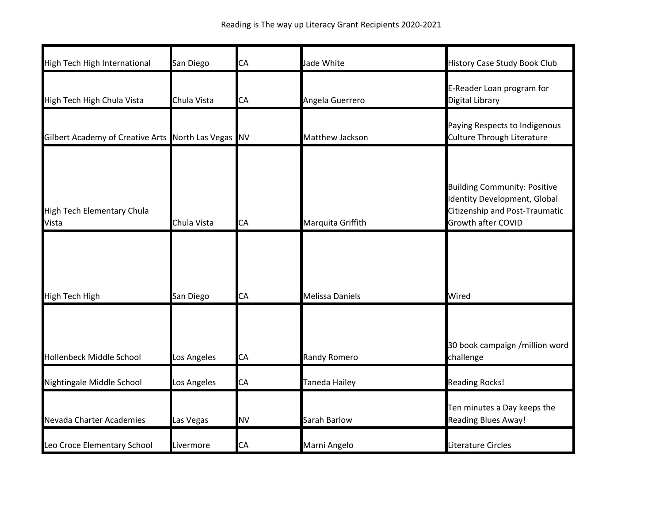| High Tech High International                        | San Diego   | <b>CA</b> | Jade White             | <b>History Case Study Book Club</b>                                                                                                |
|-----------------------------------------------------|-------------|-----------|------------------------|------------------------------------------------------------------------------------------------------------------------------------|
| High Tech High Chula Vista                          | Chula Vista | CA        | Angela Guerrero        | E-Reader Loan program for<br>Digital Library                                                                                       |
| Gilbert Academy of Creative Arts North Las Vegas NV |             |           | Matthew Jackson        | Paying Respects to Indigenous<br>Culture Through Literature                                                                        |
| High Tech Elementary Chula<br>Vista                 | Chula Vista | CA        | Marquita Griffith      | <b>Building Community: Positive</b><br>Identity Development, Global<br><b>Citizenship and Post-Traumatic</b><br>Growth after COVID |
| High Tech High                                      | San Diego   | <b>CA</b> | <b>Melissa Daniels</b> | Wired                                                                                                                              |
| Hollenbeck Middle School                            | Los Angeles | <b>CA</b> | Randy Romero           | 30 book campaign /million word<br>challenge                                                                                        |
| Nightingale Middle School                           | Los Angeles | CA        | <b>Taneda Hailey</b>   | <b>Reading Rocks!</b>                                                                                                              |
| Nevada Charter Academies                            | Las Vegas   | <b>NV</b> | Sarah Barlow           | Ten minutes a Day keeps the<br><b>Reading Blues Away!</b>                                                                          |
| Leo Croce Elementary School                         | Livermore   | CA        | Marni Angelo           | Literature Circles                                                                                                                 |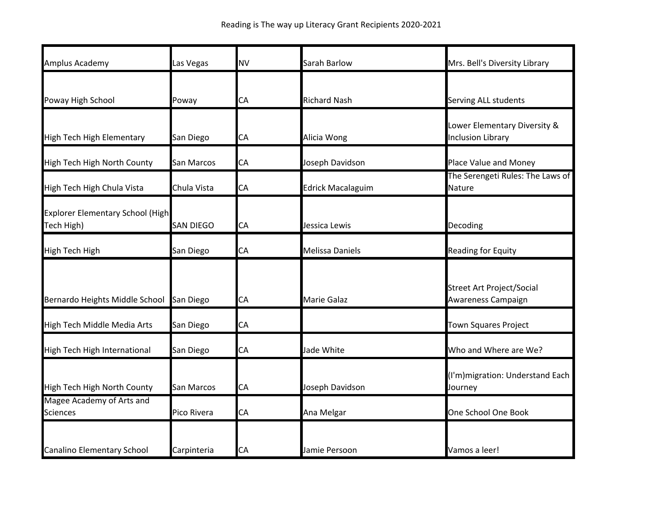| Amplus Academy                                        | Las Vegas        | <b>NV</b> | Sarah Barlow             | Mrs. Bell's Diversity Library                            |
|-------------------------------------------------------|------------------|-----------|--------------------------|----------------------------------------------------------|
| Poway High School                                     | Poway            | СA        | <b>Richard Nash</b>      | Serving ALL students                                     |
| High Tech High Elementary                             | San Diego        | CA        | Alicia Wong              | Lower Elementary Diversity &<br><b>Inclusion Library</b> |
| High Tech High North County                           | San Marcos       | CA        | Joseph Davidson          | Place Value and Money                                    |
| High Tech High Chula Vista                            | Chula Vista      | CA        | <b>Edrick Macalaguim</b> | The Serengeti Rules: The Laws of<br>Nature               |
| <b>Explorer Elementary School (High</b><br>Tech High) | <b>SAN DIEGO</b> | CA        | Jessica Lewis            | Decoding                                                 |
| <b>High Tech High</b>                                 | San Diego        | CA        | Melissa Daniels          | Reading for Equity                                       |
| Bernardo Heights Middle School                        | San Diego        | CA        | Marie Galaz              | <b>Street Art Project/Social</b><br>Awareness Campaign   |
| High Tech Middle Media Arts                           | San Diego        | CA        |                          | <b>Town Squares Project</b>                              |
| High Tech High International                          | San Diego        | CA        | Jade White               | Who and Where are We?                                    |
| High Tech High North County                           | San Marcos       | CA        | Joseph Davidson          | (I'm) migration: Understand Each<br>Journey              |
| Magee Academy of Arts and<br><b>Sciences</b>          | Pico Rivera      | CA        | Ana Melgar               | One School One Book                                      |
| <b>Canalino Elementary School</b>                     | Carpinteria      | CA        | Jamie Persoon            | Vamos a leer!                                            |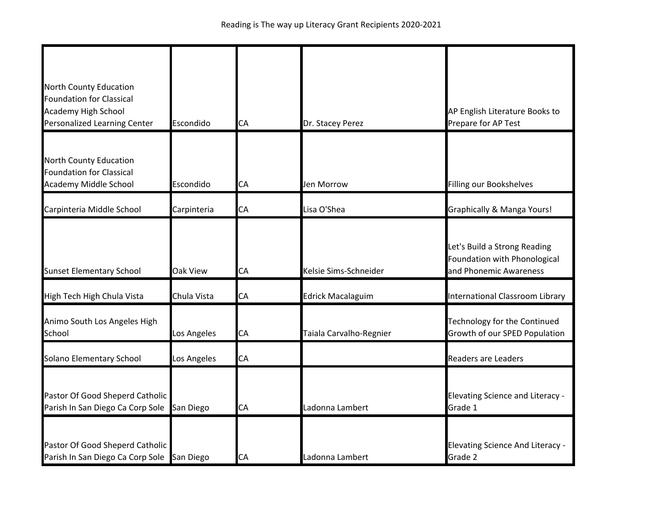| North County Education<br><b>Foundation for Classical</b><br>Academy High School<br>Personalized Learning Center | Escondido   | CA | Dr. Stacey Perez         | AP English Literature Books to<br>Prepare for AP Test                                  |
|------------------------------------------------------------------------------------------------------------------|-------------|----|--------------------------|----------------------------------------------------------------------------------------|
| North County Education<br><b>Foundation for Classical</b><br>Academy Middle School                               | Escondido   | СA | Jen Morrow               | Filling our Bookshelves                                                                |
| Carpinteria Middle School                                                                                        | Carpinteria | СA | Lisa O'Shea              | Graphically & Manga Yours!                                                             |
| <b>Sunset Elementary School</b>                                                                                  | Oak View    | CA | Kelsie Sims-Schneider    | Let's Build a Strong Reading<br>Foundation with Phonological<br>and Phonemic Awareness |
| High Tech High Chula Vista                                                                                       | Chula Vista | CA | <b>Edrick Macalaguim</b> | International Classroom Library                                                        |
| Animo South Los Angeles High<br>School                                                                           | Los Angeles | CA | Taiala Carvalho-Regnier  | Technology for the Continued<br>Growth of our SPED Population                          |
| Solano Elementary School                                                                                         | Los Angeles | СA |                          | <b>Readers are Leaders</b>                                                             |
| Pastor Of Good Sheperd Catholic<br>Parish In San Diego Ca Corp Sole                                              | San Diego   | CA | Ladonna Lambert          | <b>Elevating Science and Literacy -</b><br>Grade 1                                     |
| Pastor Of Good Sheperd Catholic<br>Parish In San Diego Ca Corp Sole San Diego                                    |             | СA | Ladonna Lambert          | <b>Elevating Science And Literacy -</b><br>Grade 2                                     |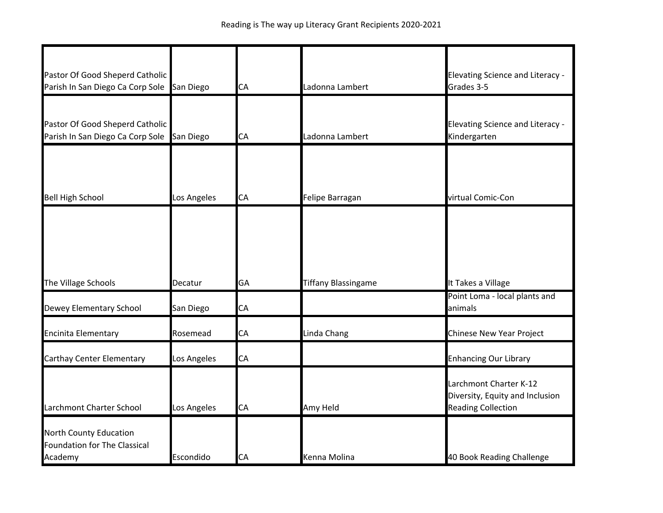| Pastor Of Good Sheperd Catholic<br>Parish In San Diego Ca Corp Sole San Diego |             | CA | Ladonna Lambert            | <b>Elevating Science and Literacy -</b><br>Grades 3-5                                  |
|-------------------------------------------------------------------------------|-------------|----|----------------------------|----------------------------------------------------------------------------------------|
| Pastor Of Good Sheperd Catholic<br>Parish In San Diego Ca Corp Sole San Diego |             | СA | Ladonna Lambert            | <b>Elevating Science and Literacy -</b><br>Kindergarten                                |
|                                                                               |             |    |                            |                                                                                        |
| <b>Bell High School</b>                                                       | Los Angeles | CA | Felipe Barragan            | virtual Comic-Con                                                                      |
| The Village Schools                                                           | Decatur     | GA | <b>Tiffany Blassingame</b> | It Takes a Village                                                                     |
| Dewey Elementary School                                                       | San Diego   | СA |                            | Point Loma - local plants and<br>animals                                               |
| Encinita Elementary                                                           | Rosemead    | СA | Linda Chang                | Chinese New Year Project                                                               |
| Carthay Center Elementary                                                     | Los Angeles | CA |                            | <b>Enhancing Our Library</b>                                                           |
| Larchmont Charter School                                                      | Los Angeles | CA | Amy Held                   | Larchmont Charter K-12<br>Diversity, Equity and Inclusion<br><b>Reading Collection</b> |
| North County Education<br><b>Foundation for The Classical</b><br>Academy      | Escondido   | CA | Kenna Molina               | 40 Book Reading Challenge                                                              |